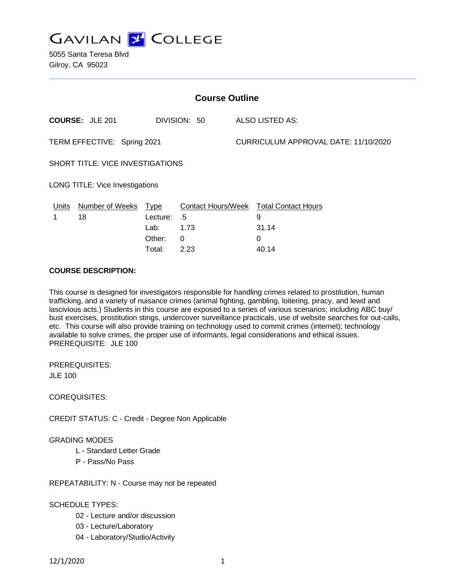

5055 Santa Teresa Blvd Gilroy, CA 95023

| <b>Course Outline</b>                   |                        |          |              |  |                                               |  |
|-----------------------------------------|------------------------|----------|--------------|--|-----------------------------------------------|--|
|                                         | <b>COURSE: JLE 201</b> |          | DIVISION: 50 |  | ALSO LISTED AS:                               |  |
| TERM EFFECTIVE: Spring 2021             |                        |          |              |  | CURRICULUM APPROVAL DATE: 11/10/2020          |  |
| <b>SHORT TITLE: VICE INVESTIGATIONS</b> |                        |          |              |  |                                               |  |
| LONG TITLE: Vice Investigations         |                        |          |              |  |                                               |  |
| <u>Units</u>                            | Number of Weeks Type   |          |              |  | <b>Contact Hours/Week Total Contact Hours</b> |  |
|                                         | 18                     | Lecture: | .5           |  | 9                                             |  |
|                                         |                        | Lab:     | 1.73         |  | 31.14                                         |  |
|                                         |                        | Other:   | 0            |  | 0                                             |  |
|                                         |                        | Total:   | 2.23         |  | 40.14                                         |  |

#### **COURSE DESCRIPTION:**

This course is designed for investigators responsible for handling crimes related to prostitution, human trafficking, and a variety of nuisance crimes (animal fighting, gambling, loitering, piracy, and lewd and lascivious acts.) Students in this course are exposed to a series of various scenarios; including ABC buy/ bust exercises, prostitution stings, undercover surveillance practicals, use of website searches for out-calls, etc. This course will also provide training on technology used to commit crimes (internet); technology available to solve crimes, the proper use of informants, legal considerations and ethical issues. PREREQUISITE: JLE 100

PREREQUISITES:

JLE 100

COREQUISITES:

CREDIT STATUS: C - Credit - Degree Non Applicable

### GRADING MODES

- L Standard Letter Grade
- P Pass/No Pass

REPEATABILITY: N - Course may not be repeated

#### SCHEDULE TYPES:

- 02 Lecture and/or discussion
- 03 Lecture/Laboratory
- 04 Laboratory/Studio/Activity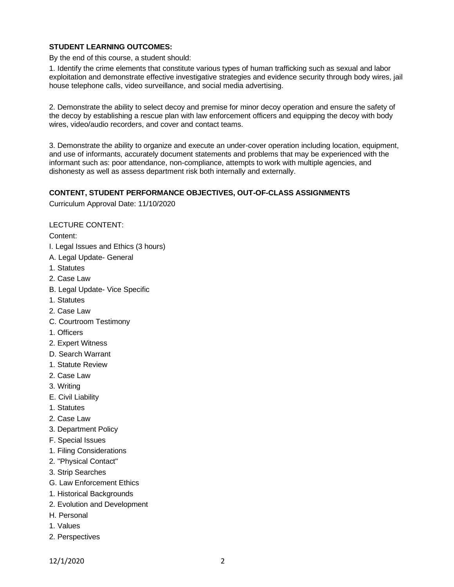### **STUDENT LEARNING OUTCOMES:**

By the end of this course, a student should:

1. Identify the crime elements that constitute various types of human trafficking such as sexual and labor exploitation and demonstrate effective investigative strategies and evidence security through body wires, jail house telephone calls, video surveillance, and social media advertising.

2. Demonstrate the ability to select decoy and premise for minor decoy operation and ensure the safety of the decoy by establishing a rescue plan with law enforcement officers and equipping the decoy with body wires, video/audio recorders, and cover and contact teams.

3. Demonstrate the ability to organize and execute an under-cover operation including location, equipment, and use of informants, accurately document statements and problems that may be experienced with the informant such as: poor attendance, non-compliance, attempts to work with multiple agencies, and dishonesty as well as assess department risk both internally and externally.

### **CONTENT, STUDENT PERFORMANCE OBJECTIVES, OUT-OF-CLASS ASSIGNMENTS**

Curriculum Approval Date: 11/10/2020

### LECTURE CONTENT:

Content:

- I. Legal Issues and Ethics (3 hours)
- A. Legal Update- General
- 1. Statutes
- 2. Case Law
- B. Legal Update- Vice Specific
- 1. Statutes
- 2. Case Law
- C. Courtroom Testimony
- 1. Officers
- 2. Expert Witness
- D. Search Warrant
- 1. Statute Review
- 2. Case Law
- 3. Writing
- E. Civil Liability
- 1. Statutes
- 2. Case Law
- 3. Department Policy
- F. Special Issues
- 1. Filing Considerations
- 2. "Physical Contact"
- 3. Strip Searches
- G. Law Enforcement Ethics
- 1. Historical Backgrounds
- 2. Evolution and Development
- H. Personal
- 1. Values
- 2. Perspectives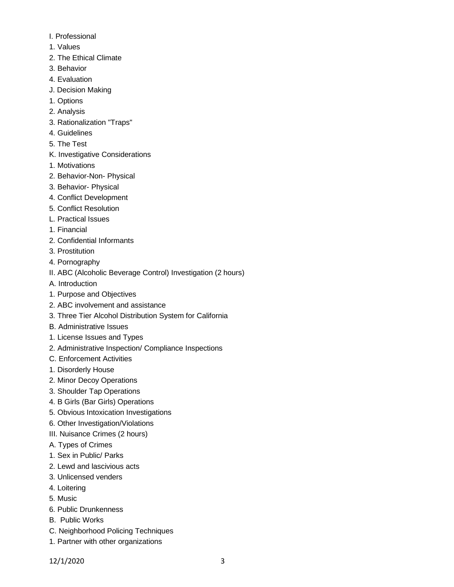- I. Professional
- 1. Values
- 2. The Ethical Climate
- 3. Behavior
- 4. Evaluation
- J. Decision Making
- 1. Options
- 2. Analysis
- 3. Rationalization "Traps"
- 4. Guidelines
- 5. The Test
- K. Investigative Considerations
- 1. Motivations
- 2. Behavior-Non- Physical
- 3. Behavior- Physical
- 4. Conflict Development
- 5. Conflict Resolution
- L. Practical Issues
- 1. Financial
- 2. Confidential Informants
- 3. Prostitution
- 4. Pornography
- II. ABC (Alcoholic Beverage Control) Investigation (2 hours)
- A. Introduction
- 1. Purpose and Objectives
- 2. ABC involvement and assistance
- 3. Three Tier Alcohol Distribution System for California
- B. Administrative Issues
- 1. License Issues and Types
- 2. Administrative Inspection/ Compliance Inspections
- C. Enforcement Activities
- 1. Disorderly House
- 2. Minor Decoy Operations
- 3. Shoulder Tap Operations
- 4. B Girls (Bar Girls) Operations
- 5. Obvious Intoxication Investigations
- 6. Other Investigation/Violations
- III. Nuisance Crimes (2 hours)
- A. Types of Crimes
- 1. Sex in Public/ Parks
- 2. Lewd and lascivious acts
- 3. Unlicensed venders
- 4. Loitering
- 5. Music
- 6. Public Drunkenness
- B. Public Works
- C. Neighborhood Policing Techniques
- 1. Partner with other organizations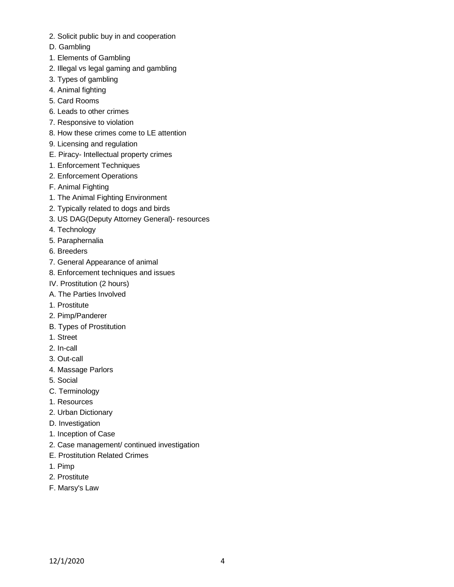- 2. Solicit public buy in and cooperation
- D. Gambling
- 1. Elements of Gambling
- 2. Illegal vs legal gaming and gambling
- 3. Types of gambling
- 4. Animal fighting
- 5. Card Rooms
- 6. Leads to other crimes
- 7. Responsive to violation
- 8. How these crimes come to LE attention
- 9. Licensing and regulation
- E. Piracy- Intellectual property crimes
- 1. Enforcement Techniques
- 2. Enforcement Operations
- F. Animal Fighting
- 1. The Animal Fighting Environment
- 2. Typically related to dogs and birds
- 3. US DAG(Deputy Attorney General)- resources
- 4. Technology
- 5. Paraphernalia
- 6. Breeders
- 7. General Appearance of animal
- 8. Enforcement techniques and issues
- IV. Prostitution (2 hours)
- A. The Parties Involved
- 1. Prostitute
- 2. Pimp/Panderer
- B. Types of Prostitution
- 1. Street
- 2. In-call
- 3. Out-call
- 4. Massage Parlors
- 5. Social
- C. Terminology
- 1. Resources
- 2. Urban Dictionary
- D. Investigation
- 1. Inception of Case
- 2. Case management/ continued investigation
- E. Prostitution Related Crimes
- 1. Pimp
- 2. Prostitute
- F. Marsy's Law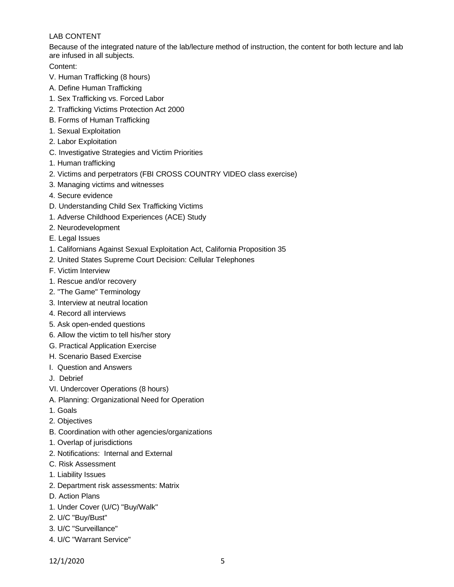# LAB CONTENT

Because of the integrated nature of the lab/lecture method of instruction, the content for both lecture and lab are infused in all subjects.

Content:

- V. Human Trafficking (8 hours)
- A. Define Human Trafficking
- 1. Sex Trafficking vs. Forced Labor
- 2. Trafficking Victims Protection Act 2000
- B. Forms of Human Trafficking
- 1. Sexual Exploitation
- 2. Labor Exploitation
- C. Investigative Strategies and Victim Priorities
- 1. Human trafficking
- 2. Victims and perpetrators (FBI CROSS COUNTRY VIDEO class exercise)
- 3. Managing victims and witnesses
- 4. Secure evidence
- D. Understanding Child Sex Trafficking Victims
- 1. Adverse Childhood Experiences (ACE) Study
- 2. Neurodevelopment
- E. Legal Issues
- 1. Californians Against Sexual Exploitation Act, California Proposition 35
- 2. United States Supreme Court Decision: Cellular Telephones
- F. Victim Interview
- 1. Rescue and/or recovery
- 2. "The Game" Terminology
- 3. Interview at neutral location
- 4. Record all interviews
- 5. Ask open-ended questions
- 6. Allow the victim to tell his/her story
- G. Practical Application Exercise
- H. Scenario Based Exercise
- I. Question and Answers
- J. Debrief
- VI. Undercover Operations (8 hours)
- A. Planning: Organizational Need for Operation
- 1. Goals
- 2. Objectives
- B. Coordination with other agencies/organizations
- 1. Overlap of jurisdictions
- 2. Notifications: Internal and External
- C. Risk Assessment
- 1. Liability Issues
- 2. Department risk assessments: Matrix
- D. Action Plans
- 1. Under Cover (U/C) "Buy/Walk"
- 2. U/C "Buy/Bust"
- 3. U/C "Surveillance"
- 4. U/C "Warrant Service"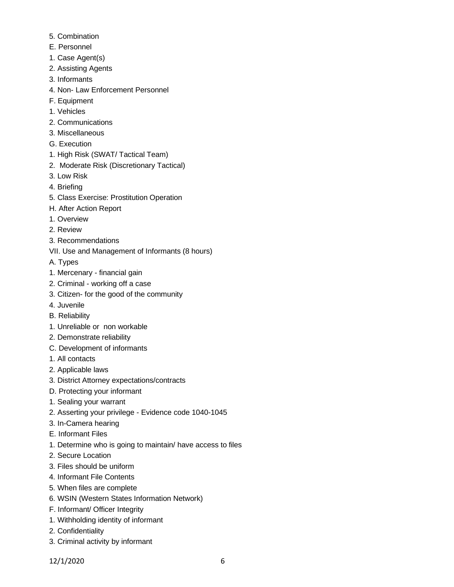- 5. Combination
- E. Personnel
- 1. Case Agent(s)
- 2. Assisting Agents
- 3. Informants
- 4. Non- Law Enforcement Personnel
- F. Equipment
- 1. Vehicles
- 2. Communications
- 3. Miscellaneous
- G. Execution
- 1. High Risk (SWAT/ Tactical Team)
- 2. Moderate Risk (Discretionary Tactical)
- 3. Low Risk
- 4. Briefing
- 5. Class Exercise: Prostitution Operation
- H. After Action Report
- 1. Overview
- 2. Review
- 3. Recommendations
- VII. Use and Management of Informants (8 hours)
- A. Types
- 1. Mercenary financial gain
- 2. Criminal working off a case
- 3. Citizen- for the good of the community
- 4. Juvenile
- B. Reliability
- 1. Unreliable or non workable
- 2. Demonstrate reliability
- C. Development of informants
- 1. All contacts
- 2. Applicable laws
- 3. District Attorney expectations/contracts
- D. Protecting your informant
- 1. Sealing your warrant
- 2. Asserting your privilege Evidence code 1040-1045
- 3. In-Camera hearing
- E. Informant Files
- 1. Determine who is going to maintain/ have access to files
- 2. Secure Location
- 3. Files should be uniform
- 4. Informant File Contents
- 5. When files are complete
- 6. WSIN (Western States Information Network)
- F. Informant/ Officer Integrity
- 1. Withholding identity of informant
- 2. Confidentiality
- 3. Criminal activity by informant

12/1/2020 6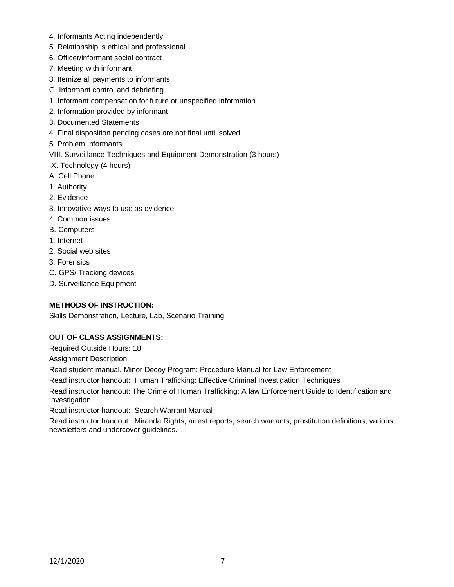- 4. Informants Acting independently
- 5. Relationship is ethical and professional
- 6. Officer/informant social contract
- 7. Meeting with informant
- 8. Itemize all payments to informants
- G. Informant control and debriefing
- 1. Informant compensation for future or unspecified information
- 2. Information provided by informant
- 3. Documented Statements
- 4. Final disposition pending cases are not final until solved
- 5. Problem Informants
- VIII. Surveillance Techniques and Equipment Demonstration (3 hours)
- IX. Technology (4 hours)
- A. Cell Phone
- 1. Authority
- 2. Evidence
- 3. Innovative ways to use as evidence
- 4. Common issues
- B. Computers
- 1. Internet
- 2. Social web sites
- 3. Forensics
- C. GPS/ Tracking devices
- D. Surveillance Equipment

# **METHODS OF INSTRUCTION:**

Skills Demonstration, Lecture, Lab, Scenario Training

# **OUT OF CLASS ASSIGNMENTS:**

Required Outside Hours: 18

Assignment Description:

Read student manual, Minor Decoy Program: Procedure Manual for Law Enforcement

Read instructor handout: Human Trafficking: Effective Criminal Investigation Techniques

Read instructor handout: The Crime of Human Trafficking: A law Enforcement Guide to Identification and Investigation

Read instructor handout: Search Warrant Manual

Read instructor handout: Miranda Rights, arrest reports, search warrants, prostitution definitions, various newsletters and undercover guidelines.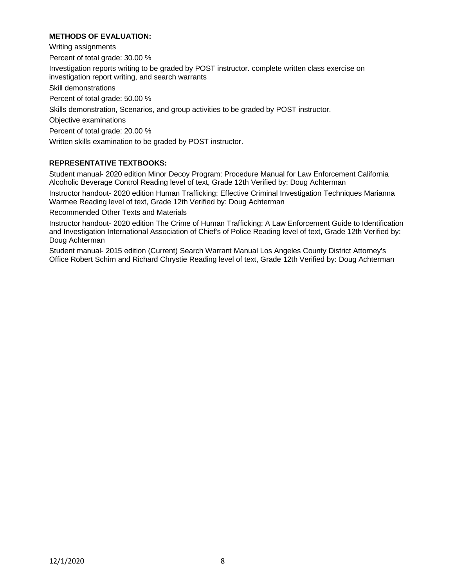### **METHODS OF EVALUATION:**

Writing assignments Percent of total grade: 30.00 % Investigation reports writing to be graded by POST instructor. complete written class exercise on investigation report writing, and search warrants Skill demonstrations Percent of total grade: 50.00 % Skills demonstration, Scenarios, and group activities to be graded by POST instructor. Objective examinations Percent of total grade: 20.00 % Written skills examination to be graded by POST instructor.

### **REPRESENTATIVE TEXTBOOKS:**

Student manual- 2020 edition Minor Decoy Program: Procedure Manual for Law Enforcement California Alcoholic Beverage Control Reading level of text, Grade 12th Verified by: Doug Achterman

Instructor handout- 2020 edition Human Trafficking: Effective Criminal Investigation Techniques Marianna Warmee Reading level of text, Grade 12th Verified by: Doug Achterman

Recommended Other Texts and Materials

Instructor handout- 2020 edition The Crime of Human Trafficking: A Law Enforcement Guide to Identification and Investigation International Association of Chief's of Police Reading level of text, Grade 12th Verified by: Doug Achterman

Student manual- 2015 edition (Current) Search Warrant Manual Los Angeles County District Attorney's Office Robert Schirn and Richard Chrystie Reading level of text, Grade 12th Verified by: Doug Achterman